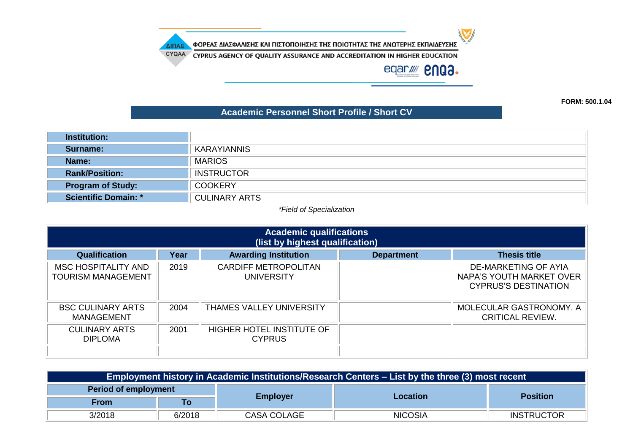ΦΟΡΕΑΣ ΔΙΑΣΦΑΛΙΣΗΣ ΚΑΙ ΠΙΣΤΟΠΟΙΗΣΗΣ ΤΗΣ ΠΟΙΟΤΗΤΑΣ ΤΗΣ ΑΝΩΤΕΡΗΣ ΕΚΠΑΙΔΕΥΣΗΣ

CYQAA CYPRUS AGENCY OF QUALITY ASSURANCE AND ACCREDITATION IN HIGHER EDUCATION

ΔΙΠΑΕ

eqar//// **enga.** 

 $\sum$ 

**FORM: 500.1.04**

#### **Academic Personnel Short Profile / Short CV**

| <b>Institution:</b>         |                      |
|-----------------------------|----------------------|
| Surname:                    | <b>KARAYIANNIS</b>   |
| Name:                       | <b>MARIOS</b>        |
| <b>Rank/Position:</b>       | <b>INSTRUCTOR</b>    |
| <b>Program of Study:</b>    | <b>COOKERY</b>       |
| <b>Scientific Domain: *</b> | <b>CULINARY ARTS</b> |

#### *\*Field of Specialization*

| <b>Academic qualifications</b><br>(list by highest qualification) |      |                                                   |                   |                                                                                 |  |
|-------------------------------------------------------------------|------|---------------------------------------------------|-------------------|---------------------------------------------------------------------------------|--|
| <b>Qualification</b>                                              | Year | <b>Awarding Institution</b>                       | <b>Department</b> | <b>Thesis title</b>                                                             |  |
| MSC HOSPITALITY AND<br>TOURISM MANAGEMENT                         | 2019 | <b>CARDIFF METROPOLITAN</b><br>UNIVERSITY         |                   | DE-MARKETING OF AYIA<br>NAPA'S YOUTH MARKET OVER<br><b>CYPRUS'S DESTINATION</b> |  |
| <b>BSC CULINARY ARTS</b><br>MANAGEMENT                            | 2004 | <b>THAMES VALLEY UNIVERSITY</b>                   |                   | MOLECULAR GASTRONOMY, A<br>CRITICAL REVIEW.                                     |  |
| <b>CULINARY ARTS</b><br><b>DIPLOMA</b>                            | 2001 | <b>HIGHER HOTEL INSTITUTE OF</b><br><b>CYPRUS</b> |                   |                                                                                 |  |

| Employment history in Academic Institutions/Research Centers – List by the three (3) most recent |        |                 |                 |                   |  |
|--------------------------------------------------------------------------------------------------|--------|-----------------|-----------------|-------------------|--|
| Period of employment                                                                             |        |                 |                 |                   |  |
| <b>From</b>                                                                                      | Τo     | <b>Employer</b> | <b>Location</b> | <b>Position</b>   |  |
| 3/2018                                                                                           | 6/2018 | CASA COLAGE     | <b>NICOSIA</b>  | <b>INSTRUCTOR</b> |  |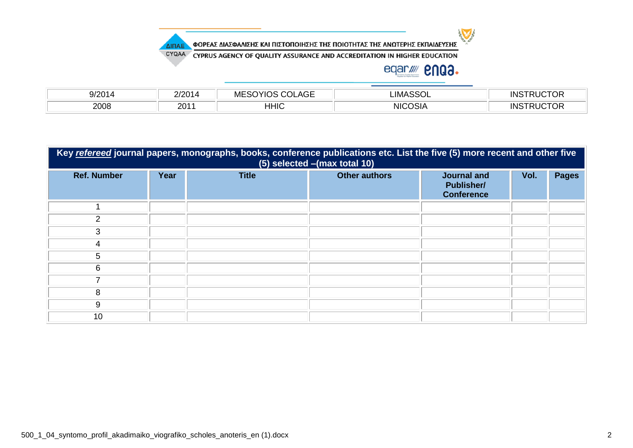

ΦΟΡΕΑΣ ΔΙΑΣΦΑΛΙΣΗΣ ΚΑΙ ΠΙΣΤΟΠΟΙΗΣΗΣ ΤΗΣ ΠΟΙΟΤΗΤΑΣ ΤΗΣ ΑΝΩΤΕΡΗΣ ΕΚΠΑΙΔΕΥΣΗΣ

CYQAA CYPRUS AGENCY OF QUALITY ASSURANCE AND ACCREDITATION IN HIGHER EDUCATION

# eqar/ **2003.**

| $\Omega/2$ | ിററ4      | $\sim$ $-$<br>.viF<br>AGE | $- - - -$<br>.IMA<br>っい | $- - - -$<br>-10<br>- INE |
|------------|-----------|---------------------------|-------------------------|---------------------------|
| 2008       | า∩1<br>∠∪ | HHIC                      | .<br><b>NIC</b><br>אוכי | -10<br>- INE              |

| Key refereed journal papers, monographs, books, conference publications etc. List the five (5) more recent and other five<br>(5) selected - (max total 10) |      |              |                      |                                                              |      |              |
|------------------------------------------------------------------------------------------------------------------------------------------------------------|------|--------------|----------------------|--------------------------------------------------------------|------|--------------|
| <b>Ref. Number</b>                                                                                                                                         | Year | <b>Title</b> | <b>Other authors</b> | <b>Journal and</b><br><b>Publisher/</b><br><b>Conference</b> | Vol. | <b>Pages</b> |
|                                                                                                                                                            |      |              |                      |                                                              |      |              |
| $\mathcal{P}$                                                                                                                                              |      |              |                      |                                                              |      |              |
| 3                                                                                                                                                          |      |              |                      |                                                              |      |              |
|                                                                                                                                                            |      |              |                      |                                                              |      |              |
| 5                                                                                                                                                          |      |              |                      |                                                              |      |              |
| 6                                                                                                                                                          |      |              |                      |                                                              |      |              |
|                                                                                                                                                            |      |              |                      |                                                              |      |              |
| 8                                                                                                                                                          |      |              |                      |                                                              |      |              |
| 9                                                                                                                                                          |      |              |                      |                                                              |      |              |
| 10                                                                                                                                                         |      |              |                      |                                                              |      |              |

ΔΙΠΑΕ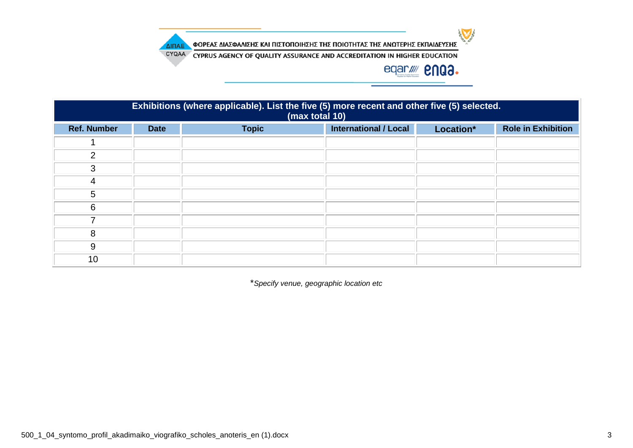$\sum$ 

ΦΟΡΕΑΣ ΔΙΑΣΦΑΛΙΣΗΣ ΚΑΙ ΠΙΣΤΟΠΟΙΗΣΗΣ ΤΗΣ ΠΟΙΟΤΗΤΑΣ ΤΗΣ ΑΝΩΤΕΡΗΣ ΕΚΠΑΙΔΕΥΣΗΣ ΔΙΠΑΕ

CYQAA CYPRUS AGENCY OF QUALITY ASSURANCE AND ACCREDITATION IN HIGHER EDUCATION

# eqar//// **enga.**

| Exhibitions (where applicable). List the five (5) more recent and other five (5) selected.<br>(max total 10) |             |              |                              |           |                           |  |
|--------------------------------------------------------------------------------------------------------------|-------------|--------------|------------------------------|-----------|---------------------------|--|
| <b>Ref. Number</b>                                                                                           | <b>Date</b> | <b>Topic</b> | <b>International / Local</b> | Location* | <b>Role in Exhibition</b> |  |
|                                                                                                              |             |              |                              |           |                           |  |
| $\mathcal{P}$                                                                                                |             |              |                              |           |                           |  |
| 3                                                                                                            |             |              |                              |           |                           |  |
| 4                                                                                                            |             |              |                              |           |                           |  |
| 5                                                                                                            |             |              |                              |           |                           |  |
| 6                                                                                                            |             |              |                              |           |                           |  |
|                                                                                                              |             |              |                              |           |                           |  |
| 8                                                                                                            |             |              |                              |           |                           |  |
| 9                                                                                                            |             |              |                              |           |                           |  |
| 10                                                                                                           |             |              |                              |           |                           |  |

\**Specify venue, geographic location etc*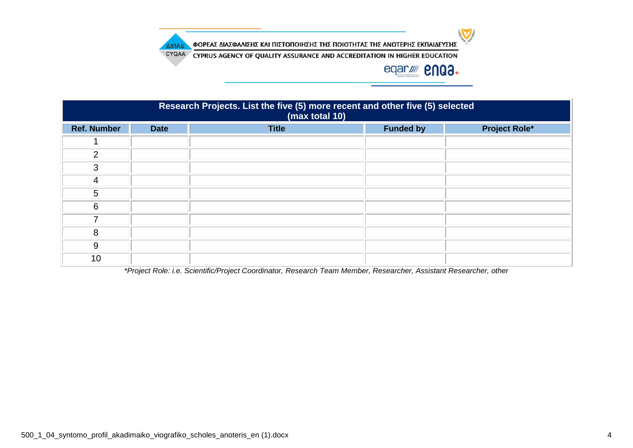

ΦΟΡΕΑΣ ΔΙΑΣΦΑΛΙΣΗΣ ΚΑΙ ΠΙΣΤΟΠΟΙΗΣΗΣ ΤΗΣ ΠΟΙΟΤΗΤΑΣ ΤΗΣ ΑΝΩΤΕΡΗΣ ΕΚΠΑΙΔΕΥΣΗΣ

CYQAA CYPRUS AGENCY OF QUALITY ASSURANCE AND ACCREDITATION IN HIGHER EDUCATION

# eqar//// **enga.**

| Research Projects. List the five (5) more recent and other five (5) selected<br>(max total 10) |             |              |                  |                      |  |  |
|------------------------------------------------------------------------------------------------|-------------|--------------|------------------|----------------------|--|--|
| <b>Ref. Number</b>                                                                             | <b>Date</b> | <b>Title</b> | <b>Funded by</b> | <b>Project Role*</b> |  |  |
|                                                                                                |             |              |                  |                      |  |  |
| $\mathcal{P}$                                                                                  |             |              |                  |                      |  |  |
| 3                                                                                              |             |              |                  |                      |  |  |
| 4                                                                                              |             |              |                  |                      |  |  |
| 5                                                                                              |             |              |                  |                      |  |  |
| 6                                                                                              |             |              |                  |                      |  |  |
|                                                                                                |             |              |                  |                      |  |  |
| 8                                                                                              |             |              |                  |                      |  |  |
| 9                                                                                              |             |              |                  |                      |  |  |
| 10                                                                                             |             |              |                  |                      |  |  |

*\*Project Role: i.e. Scientific/Project Coordinator, Research Team Member, Researcher, Assistant Researcher, other*

ΔΙΠΑΕ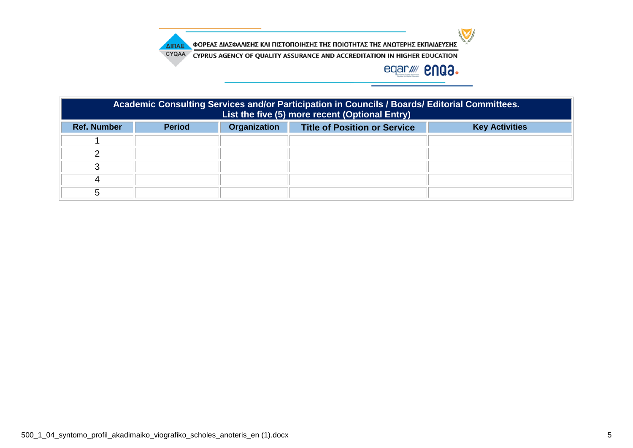

ΦΟΡΕΑΣ ΔΙΑΣΦΑΛΙΣΗΣ ΚΑΙ ΠΙΣΤΟΠΟΙΗΣΗΣ ΤΗΣ ΠΟΙΟΤΗΤΑΣ ΤΗΣ ΑΝΩΤΕΡΗΣ ΕΚΠΑΙΔΕΥΣΗΣ ΔΙΠΑΕ

CYQAA CYPRUS AGENCY OF QUALITY ASSURANCE AND ACCREDITATION IN HIGHER EDUCATION

# eqar//// **2NQ3.**

| Academic Consulting Services and/or Participation in Councils / Boards/ Editorial Committees.<br>List the five (5) more recent (Optional Entry) |                                                                                               |  |  |  |  |  |
|-------------------------------------------------------------------------------------------------------------------------------------------------|-----------------------------------------------------------------------------------------------|--|--|--|--|--|
| <b>Ref. Number</b>                                                                                                                              | Organization<br><b>Period</b><br><b>Key Activities</b><br><b>Title of Position or Service</b> |  |  |  |  |  |
|                                                                                                                                                 |                                                                                               |  |  |  |  |  |
|                                                                                                                                                 |                                                                                               |  |  |  |  |  |
|                                                                                                                                                 |                                                                                               |  |  |  |  |  |
|                                                                                                                                                 |                                                                                               |  |  |  |  |  |
| h.                                                                                                                                              |                                                                                               |  |  |  |  |  |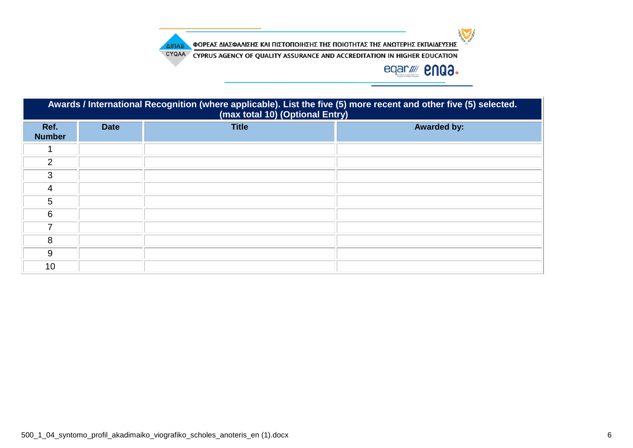

ΦΟΡΕΑΣ ΔΙΑΣΦΑΛΙΣΗΣ ΚΑΙ ΠΙΣΤΟΠΟΙΗΣΗΣ ΤΗΣ ΠΟΙΟΤΗΤΑΣ ΤΗΣ ΑΝΩΤΕΡΗΣ ΕΚΠΑΙΔΕΥΣΗΣ ΔΙΠΑΕ

CYQAA CYPRUS AGENCY OF QUALITY ASSURANCE AND ACCREDITATION IN HIGHER EDUCATION

# eqar//// **2NQ3.**

| Awards / International Recognition (where applicable). List the five (5) more recent and other five (5) selected.<br>(max total 10) (Optional Entry) |             |              |                    |  |  |  |
|------------------------------------------------------------------------------------------------------------------------------------------------------|-------------|--------------|--------------------|--|--|--|
| Ref.<br><b>Number</b>                                                                                                                                | <b>Date</b> | <b>Title</b> | <b>Awarded by:</b> |  |  |  |
|                                                                                                                                                      |             |              |                    |  |  |  |
| $\overline{2}$                                                                                                                                       |             |              |                    |  |  |  |
| 3                                                                                                                                                    |             |              |                    |  |  |  |
| 4                                                                                                                                                    |             |              |                    |  |  |  |
| 5                                                                                                                                                    |             |              |                    |  |  |  |
| 6                                                                                                                                                    |             |              |                    |  |  |  |
| 7                                                                                                                                                    |             |              |                    |  |  |  |
| 8                                                                                                                                                    |             |              |                    |  |  |  |
| 9                                                                                                                                                    |             |              |                    |  |  |  |
| 10                                                                                                                                                   |             |              |                    |  |  |  |